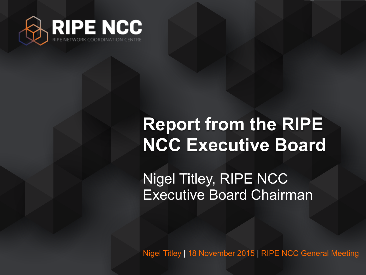

#### **Report from the RIPE NCC Executive Board**

Nigel Titley, RIPE NCC Executive Board Chairman

Nigel Titley | 18 November 2015 | RIPE NCC General Meeting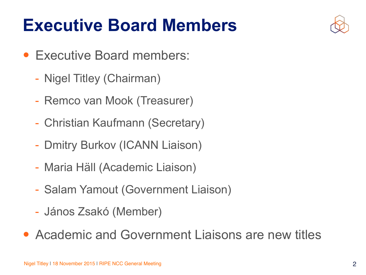#### **Executive Board Members**



- Executive Board members:
	- Nigel Titley (Chairman)
	- Remco van Mook (Treasurer)
	- Christian Kaufmann (Secretary)
	- Dmitry Burkov (ICANN Liaison)
	- Maria Häll (Academic Liaison)
	- Salam Yamout (Government Liaison)
	- János Zsakó (Member)
- Academic and Government Liaisons are new titles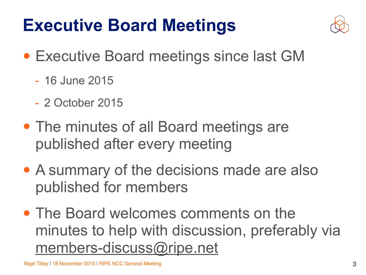### **Executive Board Meetings**



- Executive Board meetings since last GM
	- 16 June 2015
	- 2 October 2015
- The minutes of all Board meetings are published after every meeting
- A summary of the decisions made are also published for members
- The Board welcomes comments on the minutes to help with discussion, preferably via [members-discuss@ripe.net](mailto:members-discuss@ripe.net)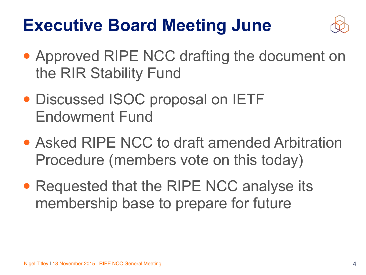### **Executive Board Meeting June**



- Approved RIPE NCC drafting the document on the RIR Stability Fund
- Discussed ISOC proposal on IETF Endowment Fund
- Asked RIPE NCC to draft amended Arbitration Procedure (members vote on this today)
- Requested that the RIPE NCC analyse its membership base to prepare for future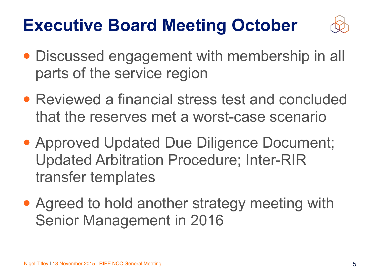## **Executive Board Meeting October**



- Discussed engagement with membership in all parts of the service region
- Reviewed a financial stress test and concluded that the reserves met a worst-case scenario
- Approved Updated Due Diligence Document; Updated Arbitration Procedure; Inter-RIR transfer templates
- Agreed to hold another strategy meeting with Senior Management in 2016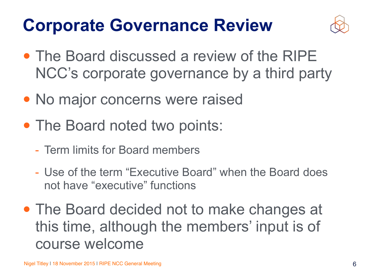### **Corporate Governance Review**



- The Board discussed a review of the RIPE NCC's corporate governance by a third party
- No major concerns were raised
- The Board noted two points:
	- Term limits for Board members
	- Use of the term "Executive Board" when the Board does not have "executive" functions
- The Board decided not to make changes at this time, although the members' input is of course welcome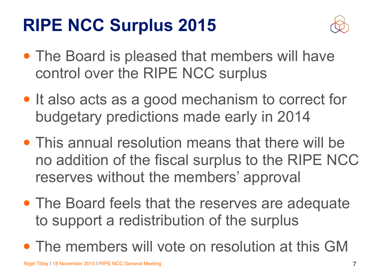### **RIPE NCC Surplus 2015**



- The Board is pleased that members will have control over the RIPE NCC surplus
- It also acts as a good mechanism to correct for budgetary predictions made early in 2014
- This annual resolution means that there will be no addition of the fiscal surplus to the RIPE NCC reserves without the members' approval
- The Board feels that the reserves are adequate to support a redistribution of the surplus
- The members will vote on resolution at this GM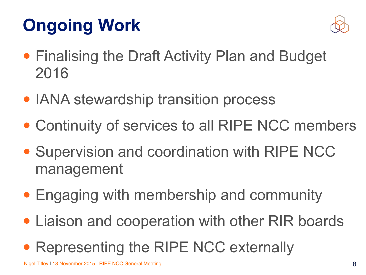# **Ongoing Work**



- Finalising the Draft Activity Plan and Budget 2016
- IANA stewardship transition process
- Continuity of services to all RIPE NCC members
- Supervision and coordination with RIPE NCC management
- Engaging with membership and community
- Liaison and cooperation with other RIR boards
- Representing the RIPE NCC externally

Nigel Titley | 18 November 2015 | RIPE NCC General Meeting 8 | Second 1 November 2015 | RIPE NCC General Meeting 8 | Second 1 November 2015 | RIPE NCC General Meeting 8 | Second 1 November 2015 | RIPE NCC General Meeting 8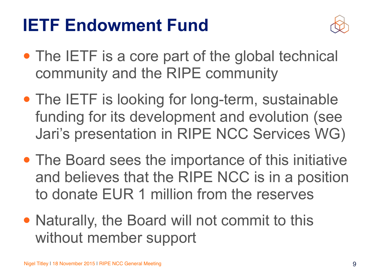#### **IETF Endowment Fund**



- The IETF is a core part of the global technical community and the RIPE community
- The IETF is looking for long-term, sustainable funding for its development and evolution (see Jari's presentation in RIPE NCC Services WG)
- The Board sees the importance of this initiative and believes that the RIPE NCC is in a position to donate EUR 1 million from the reserves
- Naturally, the Board will not commit to this without member support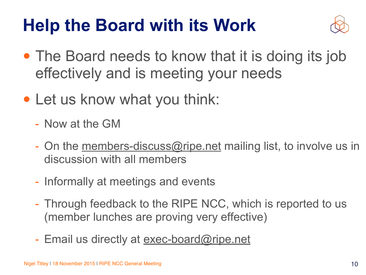### **Help the Board with its Work**



- The Board needs to know that it is doing its job effectively and is meeting your needs
- Let us know what you think:
	- Now at the GM
	- On the [members-discuss@ripe.net](mailto:members-discuss@ripe.net) mailing list, to involve us in discussion with all members
	- Informally at meetings and events
	- Through feedback to the RIPE NCC, which is reported to us (member lunches are proving very effective)
	- Email us directly at [exec-board@ripe.net](mailto:exec-board@ripe.net)